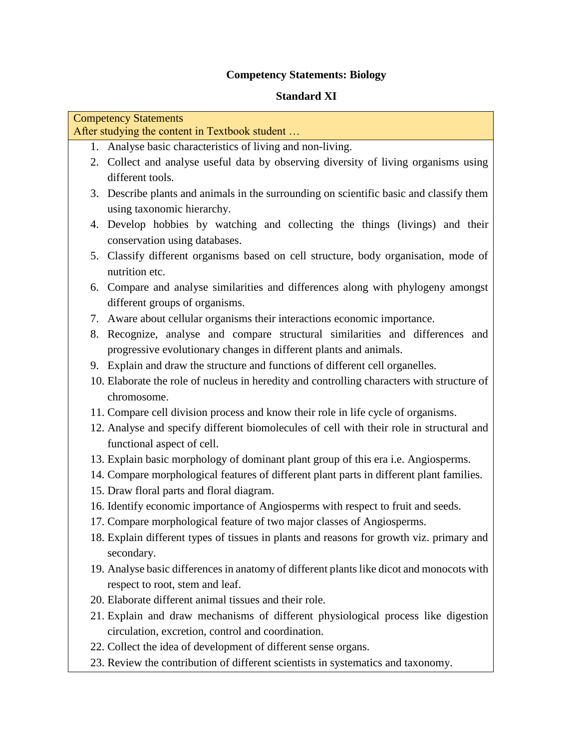# **Competency Statements: Biology**

## **Standard XI**

| <b>Competency Statements</b>                   |                                                                                            |
|------------------------------------------------|--------------------------------------------------------------------------------------------|
| After studying the content in Textbook student |                                                                                            |
|                                                | 1. Analyse basic characteristics of living and non-living.                                 |
|                                                | 2. Collect and analyse useful data by observing diversity of living organisms using        |
|                                                | different tools.                                                                           |
|                                                | 3. Describe plants and animals in the surrounding on scientific basic and classify them    |
|                                                | using taxonomic hierarchy.                                                                 |
|                                                | 4. Develop hobbies by watching and collecting the things (livings) and their               |
|                                                | conservation using databases.                                                              |
|                                                | 5. Classify different organisms based on cell structure, body organisation, mode of        |
|                                                | nutrition etc.                                                                             |
|                                                | 6. Compare and analyse similarities and differences along with phylogeny amongst           |
|                                                | different groups of organisms.                                                             |
|                                                | 7. Aware about cellular organisms their interactions economic importance.                  |
|                                                | 8. Recognize, analyse and compare structural similarities and differences and              |
|                                                | progressive evolutionary changes in different plants and animals.                          |
|                                                | 9. Explain and draw the structure and functions of different cell organelles.              |
|                                                | 10. Elaborate the role of nucleus in heredity and controlling characters with structure of |
|                                                | chromosome.                                                                                |
|                                                | 11. Compare cell division process and know their role in life cycle of organisms.          |
|                                                | 12. Analyse and specify different biomolecules of cell with their role in structural and   |
|                                                | functional aspect of cell.                                                                 |
|                                                | 13. Explain basic morphology of dominant plant group of this era i.e. Angiosperms.         |
|                                                | 14. Compare morphological features of different plant parts in different plant families.   |
|                                                | 15. Draw floral parts and floral diagram.                                                  |
|                                                | 16. Identify economic importance of Angiosperms with respect to fruit and seeds.           |
|                                                | 17. Compare morphological feature of two major classes of Angiosperms.                     |
|                                                | 18. Explain different types of tissues in plants and reasons for growth viz. primary and   |
|                                                | secondary.                                                                                 |
|                                                | 19. Analyse basic differences in anatomy of different plants like dicot and monocots with  |
|                                                | respect to root, stem and leaf.                                                            |
|                                                | 20. Elaborate different animal tissues and their role.                                     |
|                                                | 21. Explain and draw mechanisms of different physiological process like digestion          |
|                                                | circulation, excretion, control and coordination.                                          |
|                                                | 22. Collect the idea of development of different sense organs.                             |

23. Review the contribution of different scientists in systematics and taxonomy.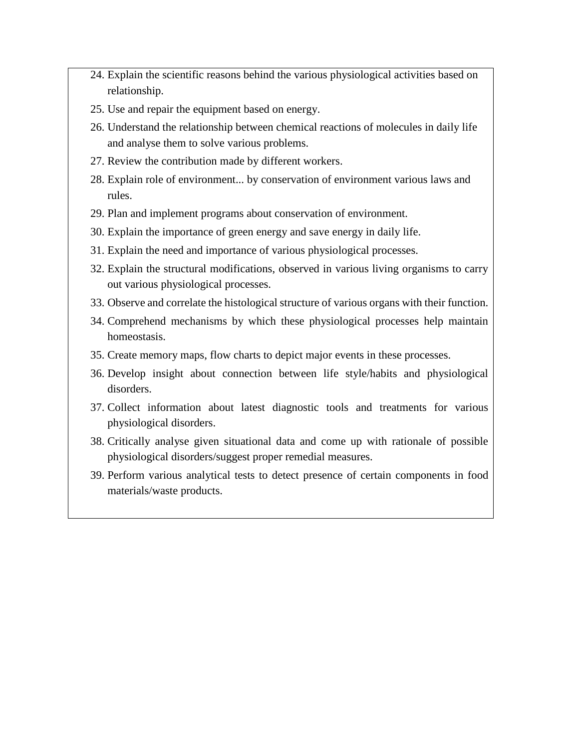- 24. Explain the scientific reasons behind the various physiological activities based on relationship.
- 25. Use and repair the equipment based on energy.
- 26. Understand the relationship between chemical reactions of molecules in daily life and analyse them to solve various problems.
- 27. Review the contribution made by different workers.
- 28. Explain role of environment... by conservation of environment various laws and rules.
- 29. Plan and implement programs about conservation of environment.
- 30. Explain the importance of green energy and save energy in daily life.
- 31. Explain the need and importance of various physiological processes.
- 32. Explain the structural modifications, observed in various living organisms to carry out various physiological processes.
- 33. Observe and correlate the histological structure of various organs with their function.
- 34. Comprehend mechanisms by which these physiological processes help maintain homeostasis.
- 35. Create memory maps, flow charts to depict major events in these processes.
- 36. Develop insight about connection between life style/habits and physiological disorders.
- 37. Collect information about latest diagnostic tools and treatments for various physiological disorders.
- 38. Critically analyse given situational data and come up with rationale of possible physiological disorders/suggest proper remedial measures.
- 39. Perform various analytical tests to detect presence of certain components in food materials/waste products.